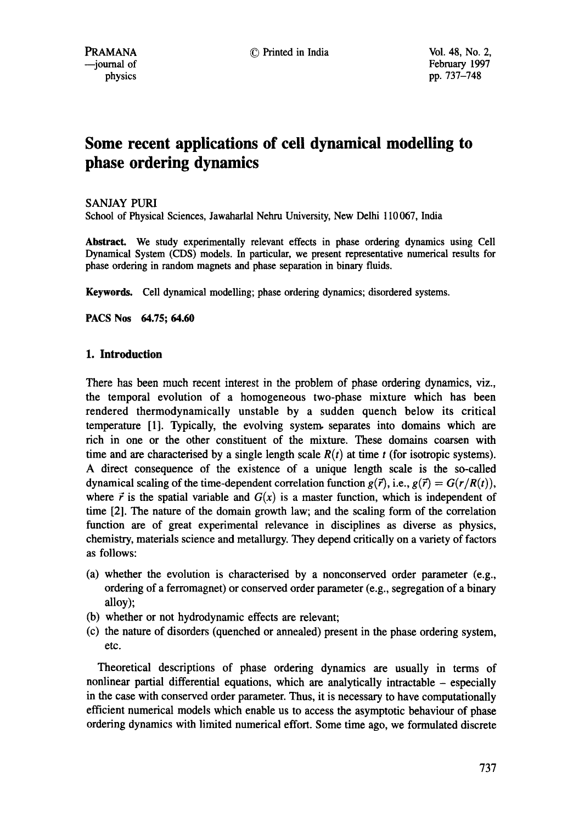# **Some recent applications of cell dynamical modelling to phase ordering dynamics**

## SANJAY PURI

School of Physical Sciences, Jawaharlal Nehru University, New Delhi 110 067, India

**Abstract.** We study experimentally relevant effects in phase ordering dynamics using Cell Dynamical System (CDS) models. In particular, we present representative numerical results for phase ordering in random magnets and phase separation in binary fluids.

Keywords. Cell dynamical modelling; phase ordering dynamics; disordered **systems.** 

**PACS Nos 64.75; 64.60** 

## **1. Introduction**

There has been much recent interest in the problem of phase ordering dynamics, viz., the temporal evolution of a homogeneous two-phase mixture which has been rendered thermodynamically unstable by a sudden quench below its critical temperature [1]. Typically, the evolving system, separates into domains which are rich in one or the other constituent of the mixture. These domains coarsen with time and are characterised by a single length scale  $R(t)$  at time t (for isotropic systems). A direct consequence of the existence of a unique length scale is the so-called dynamical scaling of the time-dependent correlation function  $g(\vec{r})$ , i.e.,  $g(\vec{r}) = G(r/R(t))$ , where  $\vec{r}$  is the spatial variable and  $G(x)$  is a master function, which is independent of time [2]. The nature of the domain growth law; and the scaling form of the correlation function are of great experimental relevance in disciplines as diverse as physics, chemistry, materials science and metallurgy. They depend critically on a variety of factors as follows:

- (a) whether the evolution is characterised by a nonconserved order parameter (e.g., ordering of a ferromagnet) or conserved order parameter (e.g., segregation of a binary alloy);
- (b) whether or not hydrodynamic effects are relevant;
- (c) the nature of disorders (quenched or annealed) present in the phase ordering system, etc.

Theoretical descriptions of phase ordering dynamics are usually in terms of nonlinear partial differential equations, which are analytically intractable - especially in the case with conserved order parameter. Thus, it is necessary to have computationally efficient numerical models which enable us to access the asymptotic behaviour of phase ordering dynamics with limited numerical effort. Some time ago, we formulated discrete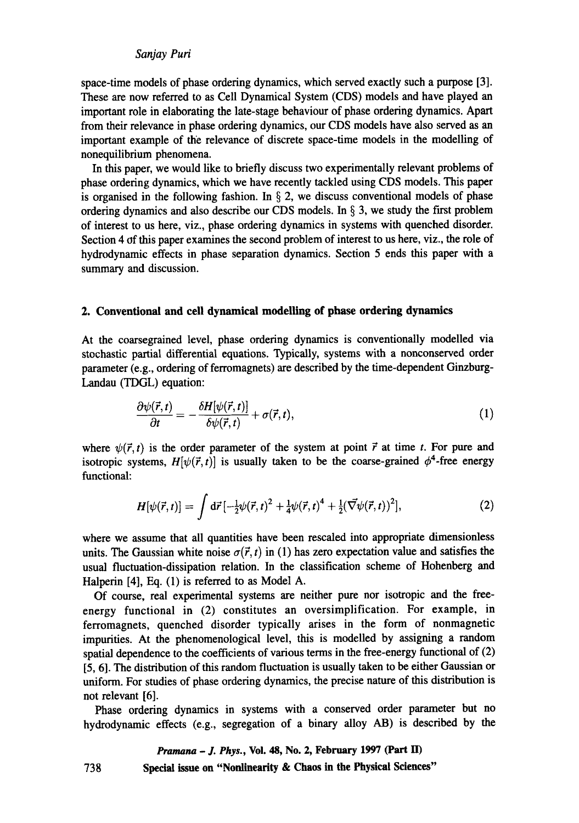## *San jay Puri*

space-time models of phase ordering dynamics, which served exactly such a purpose [3]. These are now referred to as Cell Dynamical System (CDS) models and have played an important role in elaborating the late-stage behaviour of phase ordering dynamics. Apart from their relevance in phase ordering dynamics, our CDS models have also served as an important example of the relevance of discrete space-time models in the modelling of nonequilibrium phenomena.

In this paper, we would like to briefly discuss two experimentally relevant problems of phase ordering dynamics, which we have recently tackled using CDS models. This paper is organised in the following fashion. In  $\S$  2, we discuss conventional models of phase ordering dynamics and also describe our CDS models. In § 3, we study the first problem of interest to us here, viz., phase ordering dynamics in systems with quenched disorder. Section 4 of this paper examines the second problem of interest to us here, viz., the role of hydrodynamic effects in phase separation dynamics. Section 5 ends this paper with a summary and discussion.

## **2. Conventional and cell dynamical modelling of phase ordering dynamics**

At the coarsegrained level, phase ordering dynamics is conventionally modelled via stochastic partial differential equations. Typically, systems with a nonconserved order parameter (e.g., ordering of ferromagnets) are described by the time-dependent Ginzburg-Landau (TDGL) equation:

$$
\frac{\partial \psi(\vec{r},t)}{\partial t} = -\frac{\delta H[\psi(\vec{r},t)]}{\delta \psi(\vec{r},t)} + \sigma(\vec{r},t),
$$
\n(1)

where  $\psi(\vec{r}, t)$  is the order parameter of the system at point  $\vec{r}$  at time t. For pure and isotropic systems,  $H[\psi(\vec{r}, t)]$  is usually taken to be the coarse-grained  $\phi^4$ -free energy functional:

$$
H[\psi(\vec{r},t)] = \int d\vec{r} \left[ -\frac{1}{2} \psi(\vec{r},t)^2 + \frac{1}{4} \psi(\vec{r},t)^4 + \frac{1}{2} (\vec{\nabla}\psi(\vec{r},t))^2 \right], \tag{2}
$$

where we assume that all quantities have been rescaled into appropriate dimensionless units. The Gaussian white noise  $\sigma(\vec{r}, t)$  in (1) has zero expectation value and satisfies the usual fluctuation-dissipation relation. In the classification scheme of Hohenberg and Halperin [4], Eq. (1) is referred to as Model A.

Of course, real experimental systems are neither pure nor isotropic and the freeenergy functional in (2) constitutes an oversimplification. For example, in ferromagnets, quenched disorder typically arises in the form of nonmagnetic impurities. At the phenomenological level, this is modelled by assigning a random spatial dependence to the coefficients of various terms in the free-energy functional of (2) [5, 6]. The distribution of this random fluctuation is usually taken to be either Gaussian or uniform. For studies of phase ordering dynamics, the precise nature of this distribution is not relevant [6].

Phase ordering dynamics in systems with a conserved order parameter but no hydrodynamic effects (e.g., segregation of a binary alloy AB) is described by the

## *Pramana - J. Phys.,* **Vol. 48, No. 2, February 1997 (Part ED Special issue on "Nonlinearity & Chaos in the Physical Sciences"**

738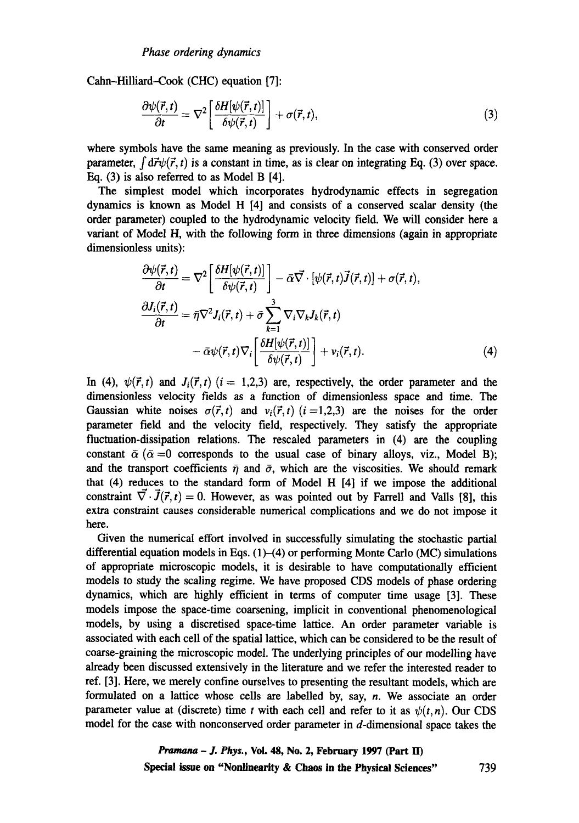Cahn-Hilliard-Cook (CHC) equation [7]:

$$
\frac{\partial \psi(\vec{r},t)}{\partial t} = \nabla^2 \left[ \frac{\delta H[\psi(\vec{r},t)]}{\delta \psi(\vec{r},t)} \right] + \sigma(\vec{r},t), \tag{3}
$$

where symbols have the same meaning as previously. In the case with conserved order parameter,  $\int d\vec{r}\psi(\vec{r},t)$  is a constant in time, as is clear on integrating Eq. (3) over space. Eq. (3) is also referred to as Model B [4].

The simplest model which incorporates hydrodynamic effects in segregation dynamics is known as Model H [4] and consists of a conserved scalar density (the order parameter) coupled to the hydrodynamic velocity field. We will consider here a variant of Model H, with the following form in three dimensions (again in appropriate dimensionless units):

$$
\frac{\partial \psi(\vec{r},t)}{\partial t} = \nabla^2 \left[ \frac{\delta H[\psi(\vec{r},t)]}{\delta \psi(\vec{r},t)} \right] - \bar{\alpha} \vec{\nabla} \cdot [\psi(\vec{r},t) \vec{J}(\vec{r},t)] + \sigma(\vec{r},t),
$$
  

$$
\frac{\partial J_i(\vec{r},t)}{\partial t} = \bar{\eta} \nabla^2 J_i(\vec{r},t) + \bar{\sigma} \sum_{k=1}^3 \nabla_i \nabla_k J_k(\vec{r},t)
$$

$$
- \bar{\alpha} \psi(\vec{r},t) \nabla_i \left[ \frac{\delta H[\psi(\vec{r},t)]}{\delta \psi(\vec{r},t)} \right] + v_i(\vec{r},t). \tag{4}
$$

In (4),  $\psi(\vec{r},t)$  and  $J_i(\vec{r},t)$  ( $i = 1,2,3$ ) are, respectively, the order parameter and the dimensionless velocity fields as a function of dimensionless space and time. The Gaussian white noises  $\sigma(\vec{r},t)$  and  $v_i(\vec{r},t)(i = 1,2,3)$  are the noises for the order parameter field and the velocity field, respectively. They satisfy the appropriate fluctuation-dissipation relations. The rescaled parameters in (4) are the coupling constant  $\bar{\alpha}$  ( $\bar{\alpha}$  =0 corresponds to the usual case of binary alloys, viz., Model B); and the transport coefficients  $\bar{\eta}$  and  $\bar{\sigma}$ , which are the viscosities. We should remark that (4) reduces to the standard form of Model H [4] if we impose the additional constraint  $\vec{\nabla} \cdot \vec{J}(\vec{r}, t) = 0$ . However, as was pointed out by Farrell and Valls [8], this extra constraint causes considerable numerical complications and we do not impose it here.

Given the numerical effort involved in successfully simulating the stochastic partial differential equation models in Eqs.  $(1)$ - $(4)$  or performing Monte Carlo (MC) simulations of appropriate microscopic models, it is desirable to have computationally efficient models to study the scaling regime. We have proposed CDS models of phase ordering dynamics, which are highly efficient in terms of computer time usage [3]. These models impose the space-time coarsening, implicit in conventional phenomenological models, by using a discretised space-time lattice. An order parameter variable is associated with each cell of the spatial lattice, which can be considered to be the result of coarse-graining the microscopic model. The underlying principles of our modelling have already been discussed extensively in the literature and we refer the interested reader to ref. [3]. Here, we merely confine ourselves to presenting the resultant models, which are formulated on a lattice whose cells are labelled by, say, n. We associate an order parameter value at (discrete) time t with each cell and refer to it as  $\psi(t, n)$ . Our CDS model for the case with nonconserved order parameter in  $d$ -dimensional space takes the

> *Pramana - J. Phys.,* **Vol. 48, No. 2, February 1997 (Part I1) Special issue on "Nonlinearity & Chaos in the Physical Sciences"** 739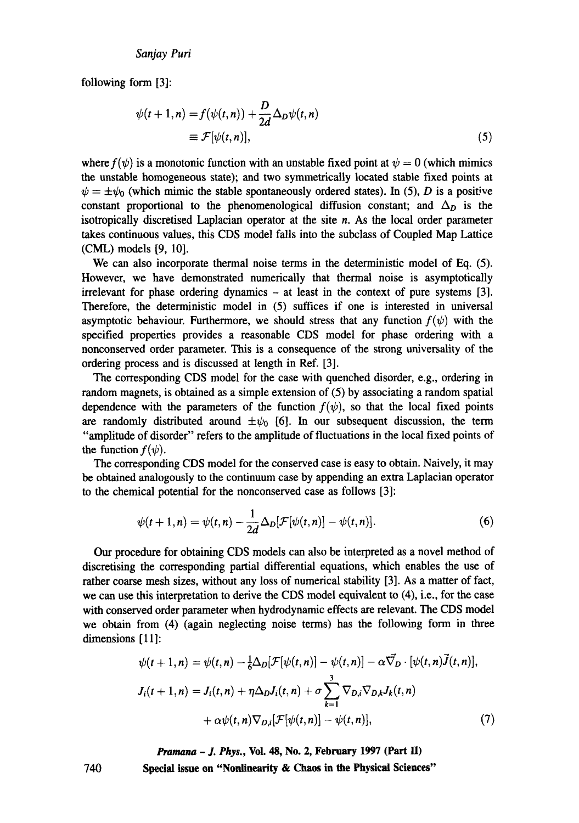#### *Sanjay Puri*

following form [3]:

$$
\psi(t+1,n) = f(\psi(t,n)) + \frac{D}{2d} \Delta_D \psi(t,n)
$$
  

$$
\equiv \mathcal{F}[\psi(t,n)], \qquad (5)
$$

where  $f(\psi)$  is a monotonic function with an unstable fixed point at  $\psi = 0$  (which mimics the unstable homogeneous state); and two symmetrically located stable fixed points at  $\psi = \pm \psi_0$  (which mimic the stable spontaneously ordered states). In (5), D is a positive constant proportional to the phenomenological diffusion constant; and  $\Delta_D$  is the isotropically discretised Laplacian operator at the site  $n$ . As the local order parameter takes continuous values, this CDS model falls into the subclass of Coupled Map Lattice (CML) models [9, 10].

We can also incorporate thermal noise terms in the deterministic model of Eq. (5). However, we have demonstrated numerically that thermal noise is asymptotically irrelevant for phase ordering dynamics  $-$  at least in the context of pure systems [3]. Therefore, the deterministic model in (5) suffices if one is interested in universal asymptotic behaviour. Furthermore, we should stress that any function  $f(\psi)$  with the specified properties provides a reasonable CDS model for phase ordering with a nonconserved order parameter. This is a consequence of the strong universality of the ordering process and is discussed at length in Ref. [3].

The corresponding CDS model for the case with quenched disorder, e.g., ordering in random magnets, is obtained as a simple extension of (5) by associating a random spatial dependence with the parameters of the function  $f(\psi)$ , so that the local fixed points are randomly distributed around  $\pm \psi_0$  [6]. In our subsequent discussion, the term "amplitude of disorder" refers to the amplitude of fluctuations in the local fixed points of the function  $f(\psi)$ .

The corresponding CDS model for the conserved case is easy to obtain. Naively, it may be obtained analogously to the continuum case by appending an extra Laplacian operator to the chemical potential for the nonconserved case as follows [3]:

$$
\psi(t+1,n)=\psi(t,n)-\frac{1}{2d}\Delta_D[\mathcal{F}[\psi(t,n)]-\psi(t,n)].
$$
\n(6)

Our procedure for obtaining CDS models can also be interpreted as a novel method of discretising the corresponding partial differential equations, which enables the use of rather coarse mesh sizes, without any loss of numerical stability [3]. As a matter of fact, we can use this interpretation to derive the CDS model equivalent to (4), i.e., for the case with conserved order parameter when hydrodynamic effects are relevant. The CDS model we obtain from (4) (again neglecting noise terms) has the following form in three dimensions [11]:

$$
\psi(t+1,n) = \psi(t,n) - \frac{1}{6}\Delta_D[\mathcal{F}[\psi(t,n)] - \psi(t,n)] - \alpha \vec{\nabla}_D \cdot [\psi(t,n)\vec{J}(t,n)],
$$
  

$$
J_i(t+1,n) = J_i(t,n) + \eta \Delta_D J_i(t,n) + \sigma \sum_{k=1}^3 \nabla_{D,i} \nabla_{D,k} J_k(t,n)
$$
  

$$
+ \alpha \psi(t,n) \nabla_{D,i}[\mathcal{F}[\psi(t,n)] - \psi(t,n)], \qquad (7)
$$

*Pramana - J. Phys.,* **Vol. 48, No. 2, February 1997 (Part lI) Special issue on "Nonlinearity & Chaos in the Physical Sciences"** 

740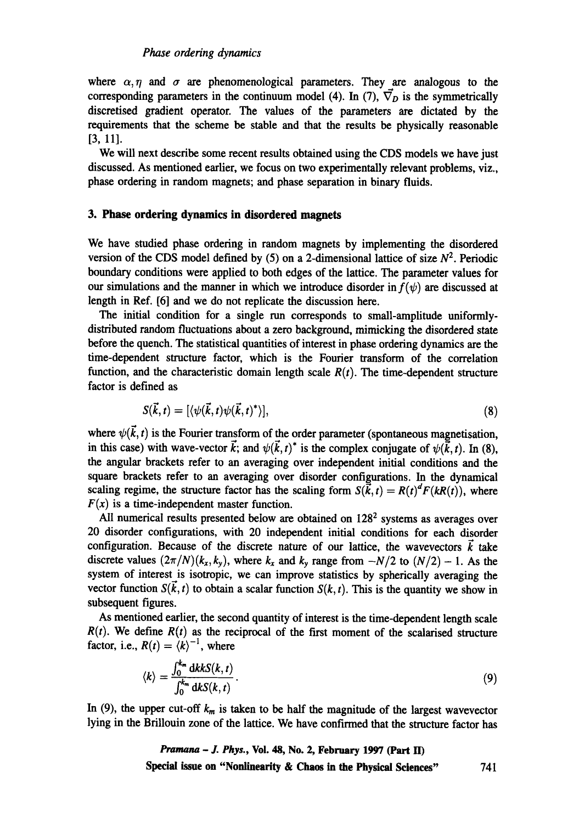where  $\alpha, \eta$  and  $\sigma$  are phenomenological parameters. They are analogous to the corresponding parameters in the continuum model (4). In (7),  $\vec{\nabla}_D$  is the symmetrically discretised gradient operator. The values of the parameters are dictated by the requirements that the scheme be stable and that the results be physically reasonable [3, 11].

We will next describe some recent results obtained using the CDS models we have just discussed. As mentioned earlier, we focus on two experimentally relevant problems, viz., phase ordering in random magnets; and phase separation in binary fluids.

## **3. Phase ordering dynamics in disordered magnets**

We have studied phase ordering in random magnets by implementing the disordered version of the CDS model defined by (5) on a 2-dimensional lattice of size  $N^2$ . Periodic boundary conditions were applied to both edges of the lattice. The parameter values for our simulations and the manner in which we introduce disorder in  $f(\psi)$  are discussed at length in Ref. [6] and we do not replicate the discussion here.

The initial condition for a single run corresponds to small-amplitude uniformlydistributed random fluctuations about a zero background, mimicking the disordered state before the quench. The statistical quantities of interest in phase ordering dynamics are the time-dependent structure factor, which is the Fourier transform of the correlation function, and the characteristic domain length scale  $R(t)$ . The time-dependent structure factor is defined as

$$
S(\vec{k},t) = [\langle \psi(\vec{k},t) \psi(\vec{k},t)^* \rangle], \tag{8}
$$

where  $\psi(\vec{k}, t)$  is the Fourier transform of the order parameter (spontaneous magnetisation, in this case) with wave-vector  $\vec{k}$ ; and  $\psi(\vec{k}, t)^*$  is the complex conjugate of  $\psi(\vec{k}, t)$ . In (8), the angular brackets refer to an averaging over independent initial conditions and the square brackets refer to an averaging over disorder configurations. In the dynamical scaling regime, the structure factor has the scaling form  $S(\vec{k}, t) = R(t)^{d} F(kR(t))$ , where  $F(x)$  is a time-independent master function.

All numerical results presented below are obtained on 128<sup>2</sup> systems as averages over 20 disorder configurations, with 20 independent initial conditions for each disorder configuration. Because of the discrete nature of our lattice, the wavevectors  $\vec{k}$  take discrete values  $(2\pi/N)(k_x, k_y)$ , where  $k_x$  and  $k_y$  range from  $-N/2$  to  $(N/2) - 1$ . As the system of interest is isotropic, we can improve statistics by spherically averaging the vector function  $S(\vec{k}, t)$  to obtain a scalar function  $S(k, t)$ . This is the quantity we show in subsequent figures.

As mentioned earlier, the second quantity of interest is the time-dependent length scale  $R(t)$ . We define  $R(t)$  as the reciprocal of the first moment of the scalarised structure factor, i.e.,  $R(t) = \langle k \rangle^{-1}$ , where

$$
\langle k \rangle = \frac{\int_0^{k_m} dk k S(k,t)}{\int_0^{k_m} dk S(k,t)}.
$$
\n(9)

In (9), the upper cut-off  $k_m$  is taken to be half the magnitude of the largest wavevector lying in the Brillouin zone of the lattice. We have confirmed that the structure factor has

*Pramana - J. Phys.,* **Vol. 48, No. 2, February 1997 (Part ED Special issue on "Nonlinearity & Chaos in the Physical Sciences"** 741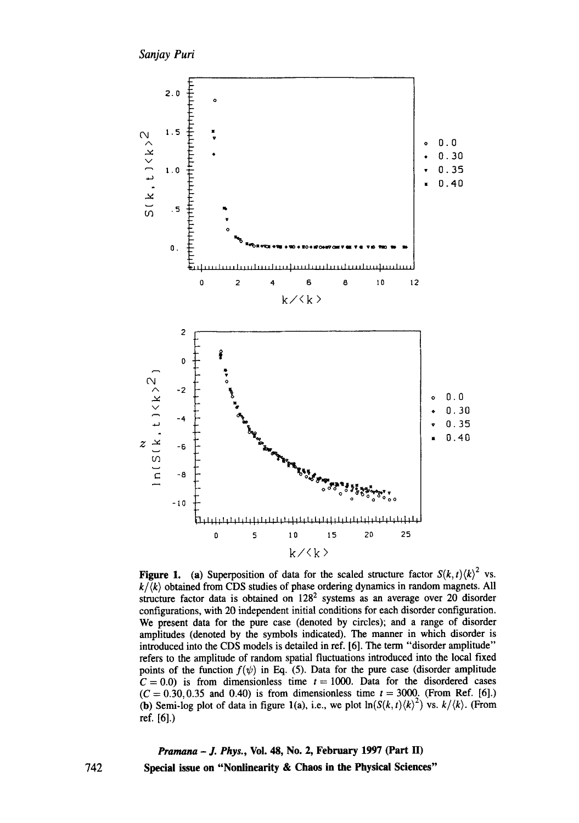*Sanjay Purl* 



**Figure 1.** (a) Superposition of data for the scaled structure factor  $S(k, t) \langle k \rangle^2$  vs.  $k/\langle k \rangle$  obtained from CDS studies of phase ordering dynamics in random magnets. All structure factor data is obtained on  $128<sup>2</sup>$  systems as an average over 20 disorder configurations, with 20 independent initial conditions for each disorder configuration. We present data for the pure case (denoted by circles); and a range of disorder amplitudes (denoted by the symbols indicated). The manner in which disorder is introduced into the CDS models is detailed in ref. [6]. The term "disorder amplitude" refers to the amplitude of random spatial fluctuations introduced into the local fixed points of the function  $f(\psi)$  in Eq. (5). Data for the pure case (disorder amplitude  $C = 0.0$ ) is from dimensionless time  $t = 1000$ . Data for the disordered cases  $(C = 0.30, 0.35, 0.40)$  is from dimensionless time  $t = 3000$ . (From Ref. [6].) (b) Semi-log plot of data in figure 1(a), i.e., we plot  $\ln(S(k, t)\langle k\rangle^2)$  vs.  $k/\langle k\rangle$ . (From ref. [6].)

*Pramana - J. Phys.,* **Vol. 48, No. 2, February 1997 (Part H) Special issue on "Nonlinearity & Chaos in the Physical Sciences"**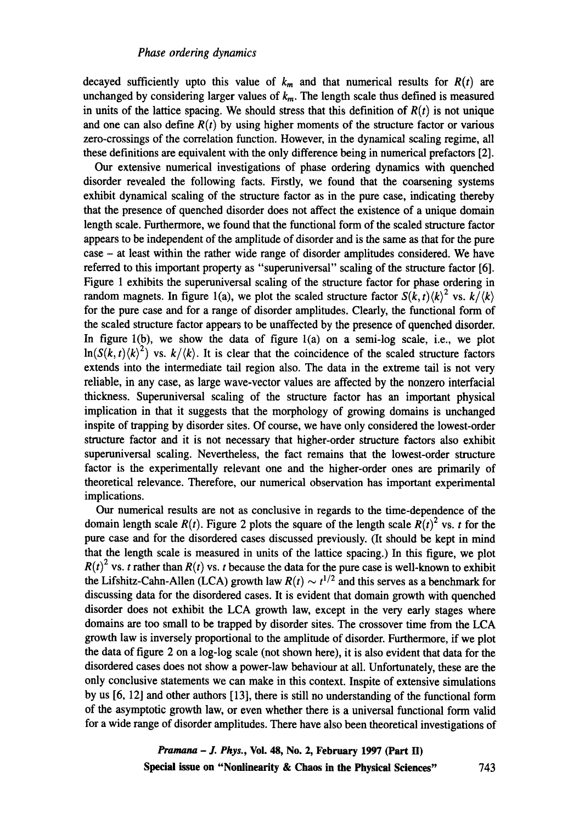decayed sufficiently upto this value of  $k_m$  and that numerical results for  $R(t)$  are unchanged by considering larger values of  $k_m$ . The length scale thus defined is measured in units of the lattice spacing. We should stress that this definition of  $R(t)$  is not unique and one can also define  $R(t)$  by using higher moments of the structure factor or various zero-crossings of the correlation function. However, in the dynamical scaling regime, all these definitions are equivalent with the only difference being in numerical prefactors [2].

Our extensive numerical investigations of phase ordering dynamics with quenched disorder revealed the following facts. Firstly, we found that the coarsening systems exhibit dynamical scaling of the structure factor as in the pure case, indicating thereby that the presence of quenched disorder does not affect the existence of a unique domain length scale. Furthermore, we found that the functional form of the scaled structure factor appears to be independent of the amplitude of disorder and is the same as that for the pure case - at least within the rather wide range of disorder amplitudes considered. We have referred to this important property as "superuniversal" scaling of the structure factor [6]. Figure 1 exhibits the superuniversal scaling of the structure factor for phase ordering in random magnets. In figure 1(a), we plot the scaled structure factor  $S(k, t) \langle k \rangle^2$  vs.  $k / \langle k \rangle$ for the pure case and for a range of disorder amplitudes. Clearly, the functional form of the scaled structure factor appears to be unaffected by the presence of quenched disorder. In figure  $l(b)$ , we show the data of figure  $l(a)$  on a semi-log scale, i.e., we plot  $\ln(S(k, t) \langle k \rangle^2)$  vs.  $k/\langle k \rangle$ . It is clear that the coincidence of the scaled structure factors extends into the intermediate tail region also. The data in the extreme tail is not very reliable, in any case, as large wave-vector values are affected by the nonzero interfacial thickness. Superuniversal scaling of the structure factor has an important physical implication in that it suggests that the morphology of growing domains is unchanged inspite of trapping by disorder sites. Of course, we have only considered the lowest-order structure factor and it is not necessary that higher-order structure factors also exhibit superuniversal scaling. Nevertheless, the fact remains that the lowest-order structure factor is the experimentally relevant one and the higher-order ones are primarily of theoretical relevance. Therefore, our numerical observation has important experimental implications.

Our numerical results are not as conclusive in regards to the time-dependence of the domain length scale  $R(t)$ . Figure 2 plots the square of the length scale  $R(t)^2$  vs. t for the pure case and for the disordered cases discussed previously. (It should be kept in mind that the length scale is measured in units of the lattice spacing.) In this figure, we plot  $R(t)^2$  vs. t rather than  $R(t)$  vs. t because the data for the pure case is well-known to exhibit the Lifshitz-Cahn-Allen (LCA) growth law  $R(t) \sim t^{1/2}$  and this serves as a benchmark for discussing data for the disordered cases. It is evident that domain growth with quenched disorder does not exhibit the LCA growth law, except in the very early stages where domains are too small to be trapped by disorder sites. The crossover time from the LCA growth law is inversely proportional to the amplitude of disorder. Furthermore, if we plot the data of figure 2 on a log-log scale (not shown here), it is also evident that data for the disordered cases does not show a power-law behaviour at all. Unfortunately, these are the only conclusive statements we can make in this context. Inspite of extensive simulations by us [6, 12] and other authors [13], there is still no understanding of the functional form of the asymptotic growth law, or even whether there is a universal functional form valid for a wide range of disorder amplitudes. There have also been theoretical investigations of

> *Pranmna - J. Phys.,* **Vol. 48, No. 2, February 1997 (Part II) Special issue on "Nonlinearity & Chaos in the Physical Sciences"** 743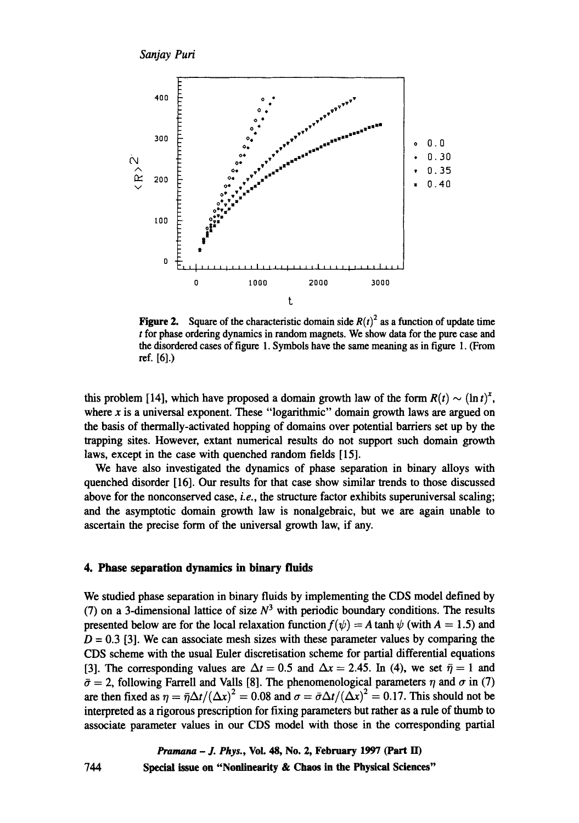

**Figure 2.** Square of the characteristic domain side  $R(t)^2$  as a function of update time t for phase ordering dynamics in random magnets. We show data for the pure case and the disordered cases of figure 1. Symbols have the same meaning as in figure 1. (From ref. [6].)

this problem [14], which have proposed a domain growth law of the form  $R(t) \sim (\ln t)^{x}$ , where  $x$  is a universal exponent. These "logarithmic" domain growth laws are argued on the basis of thermally-activated hopping of domains over potential barriers set up by the trapping sites. However, extant numerical results do not support such domain growth laws, except in the case with quenched random fields [15].

We have also investigated the dynamics of phase separation in binary alloys with quenched disorder [16]. Our results for that case show similar trends to those discussed above for the nonconserved case, *i.e., the* structure factor exhibits superuniversal scaling; and the asymptotic domain growth law is nonalgebraic, but we are again unable to ascertain the precise form of the universal growth law, if any.

#### 4. Phase separation dynamics in binary fluids

We studied phase separation in binary fluids by implementing the CDS model defined by (7) on a 3-dimensional lattice of size  $N<sup>3</sup>$  with periodic boundary conditions. The results presented below are for the local relaxation function  $f(\psi) = A \tanh \psi$  (with  $A = 1.5$ ) and  $D = 0.3$  [3]. We can associate mesh sizes with these parameter values by comparing the CDS scheme with the usual Euler discretisation scheme for partial differential equations [3]. The corresponding values are  $\Delta t = 0.5$  and  $\Delta x = 2.45$ . In (4), we set  $\bar{\eta} = 1$  and  $\bar{\sigma} = 2$ , following Farrell and Valls [8]. The phenomenological parameters  $\eta$  and  $\sigma$  in (7) are then fixed as  $\eta = \bar{\eta} \Delta t/(\Delta x)^2 = 0.08$  and  $\sigma = \bar{\sigma} \Delta t/(\Delta x)^2 = 0.17$ . This should not be interpreted as a rigorous prescription for fixing parameters but rather as a rule of thumb to associate parameter values in our CDS model with those in the corresponding partial

744 *Pramana - J. Phys.,* **Vol. 48, No. 2, February 1997 (Part ID Special issue on "Nonlinearity & Chaos in the Physical Sciences"**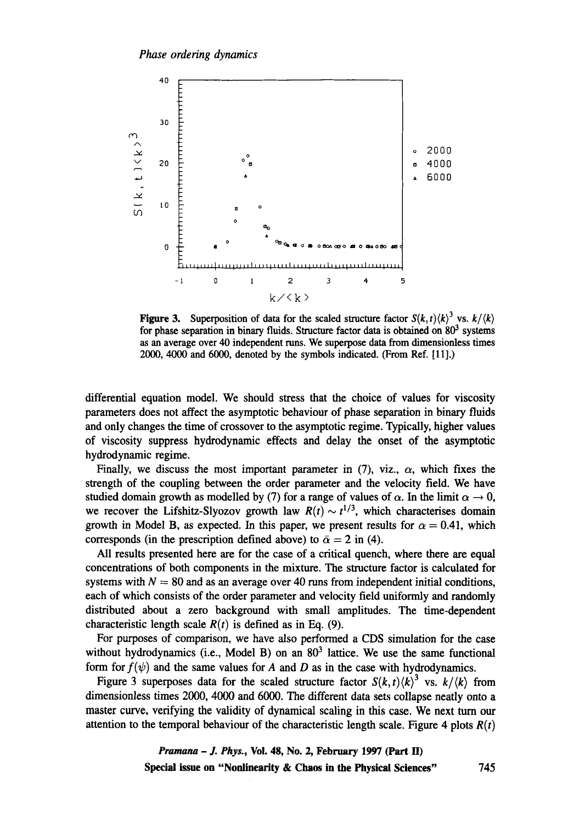

**Figure 3.** Superposition of data for the scaled structure factor  $S(k, t) \langle k \rangle^3$  vs.  $k/\langle k \rangle$ for phase separation in binary fluids. Structure factor data is obtained on  $80<sup>3</sup>$  systems as an average over 40 independent runs. We superpose data from dimensionless times 2000, 4000 and 6000, denoted by the symbols indicated. (From Ref. [11].)

differential equation model. We should stress that the choice of values for viscosity parameters does not affect the asymptotic behaviour of phase separation in binary fluids and only changes the time of crossover to the asymptotic regime. Typically, higher values of viscosity suppress hydrodynamic effects and delay the onset of the asymptotic hydrodynamic regime.

Finally, we discuss the most important parameter in (7), viz.,  $\alpha$ , which fixes the strength of the coupling between the order parameter and the velocity field. We have studied domain growth as modelled by (7) for a range of values of  $\alpha$ . In the limit  $\alpha \rightarrow 0$ , we recover the Lifshitz-Slyozov growth law  $R(t) \sim t^{1/3}$ , which characterises domain growth in Model B, as expected. In this paper, we present results for  $\alpha = 0.41$ , which corresponds (in the prescription defined above) to  $\bar{\alpha} = 2$  in (4).

All results presented here are for the case of a critical quench, where there are equal concentrations of both components in the mixture. The structure factor is calculated for systems with  $N = 80$  and as an average over 40 runs from independent initial conditions, each of which consists of the order parameter and velocity field uniformly and randomly distributed about a zero background with small amplitudes. The time-dependent characteristic length scale  $R(t)$  is defined as in Eq. (9).

For purposes of comparison, we have also performed a CDS simulation for the case without hydrodynamics (i.e., Model B) on an  $80<sup>3</sup>$  lattice. We use the same functional form for  $f(\psi)$  and the same values for A and D as in the case with hydrodynamics.

Figure 3 superposes data for the scaled structure factor  $S(k, t)$  $\langle k \rangle$ <sup>3</sup> vs.  $k/\langle k \rangle$  from dimensionless times 2000, 4000 and 6000. The different data sets collapse neatly onto a master curve, verifying the validity of dynamical scaling in this case. We next turn our attention to the temporal behaviour of the characteristic length scale. Figure 4 plots  $R(t)$ 

> *Pramana - J. Phys.,* **Vol. 48, No. 2, February 1997 (Part H) Special issue on "Nonlinearity & Chaos in the Physical Sciences"** 745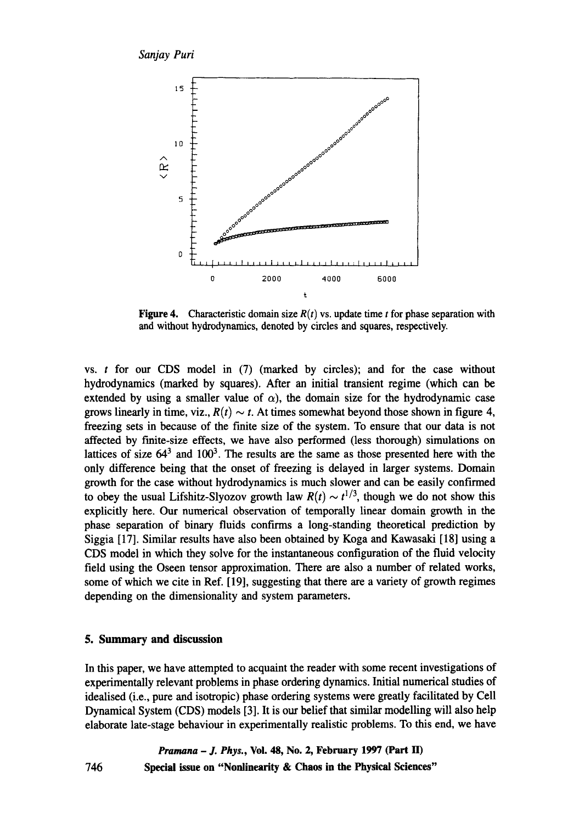

Figure 4. Characteristic domain size  $R(t)$  vs. update time t for phase separation with and without hydrodynamics, denoted by circles and squares, respectively.

vs. t for our CDS model in (7) (marked by circles); and for the case without hydrodynamics (marked by squares). After an initial transient regime (which can be extended by using a smaller value of  $\alpha$ ), the domain size for the hydrodynamic case grows linearly in time, viz.,  $R(t) \sim t$ . At times somewhat beyond those shown in figure 4, freezing sets in because of the finite size of the system. To ensure that our data is not affected by finite-size effects, we have also performed (less thorough) simulations on lattices of size  $64<sup>3</sup>$  and  $100<sup>3</sup>$ . The results are the same as those presented here with the only difference being that the onset of freezing is delayed in larger systems. Domain growth for the case without hydrodynamics is much slower and can be easily confirmed to obey the usual Lifshitz-Slyozov growth law  $R(t) \sim t^{1/3}$ , though we do not show this explicitly here. Our numerical observation of temporally linear domain growth in the phase separation of binary fluids confirms a long-standing theoretical prediction by Siggia [17]. Similar results have also been obtained by Koga and Kawasaki [18] using a CDS model in which they solve for the instantaneous configuration of the fluid velocity field using the Oseen tensor approximation. There are also a number of related works, some of which we cite in Ref. [19], suggesting that there are a variety of growth regimes depending on the dimensionality and system parameters.

## **5. Summary and discussion**

746

In this paper, we have attempted to acquaint the reader with some recent investigations of experimentally relevant problems in phase ordering dynamics. Initial numerical studies of idealised (i.e., pure and isotropic) phase ordering systems were greatly facilitated by Cell Dynamical System (CDS) models [3]. It is our belief that similar modelling will also help elaborate late-stage behaviour in experimentally realistic problems. To this end, we have

*Pramana - J. Phys.,* **Vol. 48, No. 2, February 1997 (Part H) Special issue on "Nonlinearity & Chaos in the Physical Sciences"**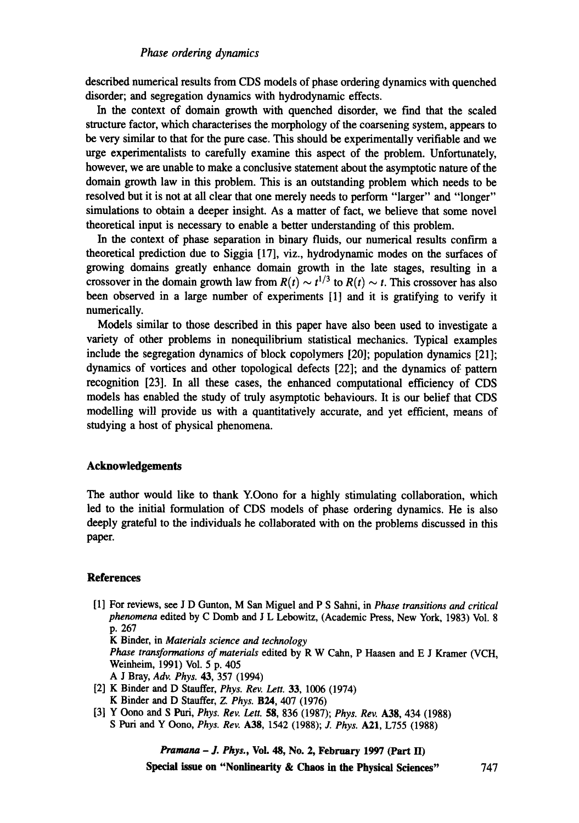described numerical results from CDS models of phase ordering dynamics with quenched disorder; and segregation dynamics with hydrodynamic effects.

In the context of domain growth with quenched disorder, we find that the scaled structure factor, which characterises the morphology of the coarsening system, appears to be very similar to that for the pure case. This should be experimentally verifiable and we urge experimentalists to carefully examine this aspect of the problem. Unfortunately, however, we are unable to make a conclusive statement about the asymptotic nature of the domain growth law in this problem. This is an outstanding problem which needs to be resolved but it is not at all clear that one merely needs to perform "larger" and "longer" simulations to obtain a deeper insight. As a matter of fact, we believe that some novel theoretical input is necessary to enable a better understanding of this problem.

In the context of phase separation in binary fluids, our numerical results confirm a theoretical prediction due to Siggia [17], viz., hydrodynamic modes on the surfaces of growing domains greatly enhance domain growth in the late stages, resulting in a crossover in the domain growth law from  $R(t) \sim t^{1/3}$  to  $R(t) \sim t$ . This crossover has also been observed in a large number of experiments [1] and it is gratifying to verify it numerically.

Models similar to those described in this paper have also been used to investigate a variety of other problems in nonequilibrium statistical mechanics. Typical examples include the segregation dynamics of block copolymers [20]; population dynamics [21]; dynamics of vortices and other topological defects [22]; and the dynamics of pattern recognition [23]. In all these cases, the enhanced computational efficiency of CDS models has enabled the study of truly asymptotic behaviours. It is our belief that CDS modelling will provide us with a quantitatively accurate, and yet efficient, means of studying a host of physical phenomena.

#### **Acknowledgements**

The author would like to thank Y.Oono for a highly stimulating collaboration, which led to the initial formulation of CDS models of phase ordering dynamics. He is also deeply grateful to the individuals he collaborated with on the problems discussed in this paper.

#### **References**

[1] For reviews, see J D Gunton, M San Miguel and P S Sahni, in *Phase transitions and critical*  phenomena edited by C Domb and J L Lebowitz, (Academic Press, New York, 1983) Vol. 8 p. 267

K Binder, in *Materials science and technology* 

*Phase transformations of materials* edited by R W Calm, P Haasen and E J Kramer (VCH, Weinheim, 1991) Vol. 5 p. 405

- A J Bray, *Adv. Phys.* 43, 357 (1994)
- [2] K Binder and D Stauffer, *Phys. Rev. Lett.* 33, 1006 (1974) K Binder and D Stauffer, *Z. Phys.* B24, 407 (1976)
- [3] Y Oono and S Puri, *Phys. Rev. Lett.* **58,** 836 (1987); *Phys. Rev.* A38, 434 (1988) S Purl and Y Oono, *Phys. Rev.* A38, 1542 (1988); J. *Phys.* A21, L755 (1988)

*Pramana - J. Phys.,* **Vol. 48, No. 2, February 1997 (Part II)** 

**Special issue on "Nonlinearity & Chaos in the Physical Sciences"** 747